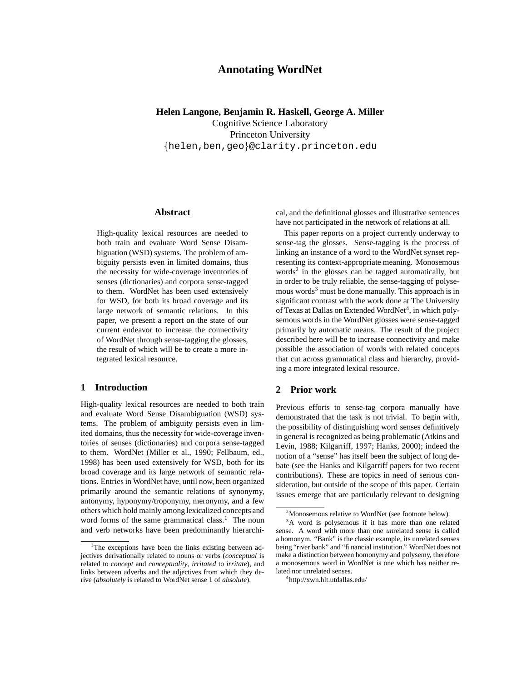# **Annotating WordNet**

## **Helen Langone, Benjamin R. Haskell, George A. Miller**

Cognitive Science Laboratory Princeton University {helen,ben,geo}@clarity.princeton.edu

## **Abstract**

High-quality lexical resources are needed to both train and evaluate Word Sense Disambiguation (WSD) systems. The problem of ambiguity persists even in limited domains, thus the necessity for wide-coverage inventories of senses (dictionaries) and corpora sense-tagged to them. WordNet has been used extensively for WSD, for both its broad coverage and its large network of semantic relations. In this paper, we present a report on the state of our current endeavor to increase the connectivity of WordNet through sense-tagging the glosses, the result of which will be to create a more integrated lexical resource.

## **1 Introduction**

High-quality lexical resources are needed to both train and evaluate Word Sense Disambiguation (WSD) systems. The problem of ambiguity persists even in limited domains, thus the necessity for wide-coverage inventories of senses (dictionaries) and corpora sense-tagged to them. WordNet (Miller et al., 1990; Fellbaum, ed., 1998) has been used extensively for WSD, both for its broad coverage and its large network of semantic relations. Entries in WordNet have, until now, been organized primarily around the semantic relations of synonymy, antonymy, hyponymy/troponymy, meronymy, and a few others which hold mainly among lexicalized concepts and word forms of the same grammatical class.<sup>1</sup> The noun and verb networks have been predominantly hierarchical, and the definitional glosses and illustrative sentences have not participated in the network of relations at all.

This paper reports on a project currently underway to sense-tag the glosses. Sense-tagging is the process of linking an instance of a word to the WordNet synset representing its context-appropriate meaning. Monosemous words<sup>2</sup> in the glosses can be tagged automatically, but in order to be truly reliable, the sense-tagging of polysemous words $3$  must be done manually. This approach is in significant contrast with the work done at The University of Texas at Dallas on Extended WordNet<sup>4</sup>, in which polysemous words in the WordNet glosses were sense-tagged primarily by automatic means. The result of the project described here will be to increase connectivity and make possible the association of words with related concepts that cut across grammatical class and hierarchy, providing a more integrated lexical resource.

# **2 Prior work**

Previous efforts to sense-tag corpora manually have demonstrated that the task is not trivial. To begin with, the possibility of distinguishing word senses definitively in general is recognized as being problematic (Atkins and Levin, 1988; Kilgarriff, 1997; Hanks, 2000); indeed the notion of a "sense" has itself been the subject of long debate (see the Hanks and Kilgarriff papers for two recent contributions). These are topics in need of serious consideration, but outside of the scope of this paper. Certain issues emerge that are particularly relevant to designing

<sup>&</sup>lt;sup>1</sup>The exceptions have been the links existing between adjectives derivationally related to nouns or verbs (*conceptual* is related to *concept* and *conceptuality*, *irritated* to *irritate*), and links between adverbs and the adjectives from which they derive (*absolutely* is related to WordNet sense 1 of *absolute*).

<sup>&</sup>lt;sup>2</sup>Monosemous relative to WordNet (see footnote below).

<sup>&</sup>lt;sup>3</sup>A word is polysemous if it has more than one related sense. A word with more than one *un*related sense is called a homonym. "Bank" is the classic example, its unrelated senses being "river bank" and "financial institution." WordNet does not make a distinction between homonymy and polysemy, therefore a monosemous word in WordNet is one which has neither related nor unrelated senses.

<sup>4</sup> http://xwn.hlt.utdallas.edu/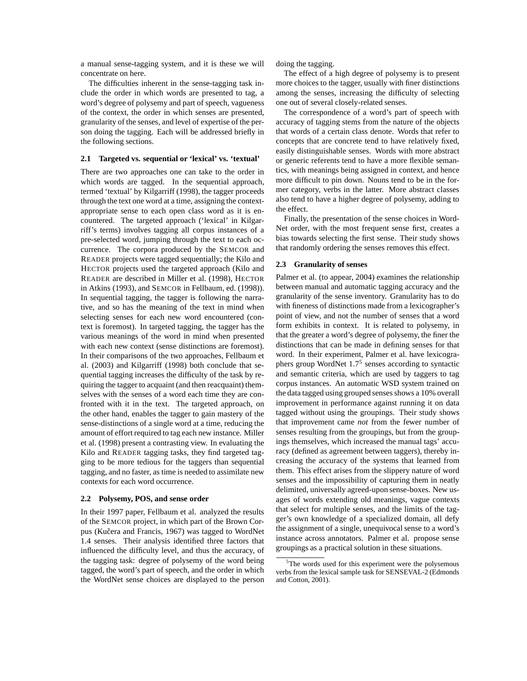a manual sense-tagging system, and it is these we will concentrate on here.

The difficulties inherent in the sense-tagging task include the order in which words are presented to tag, a word's degree of polysemy and part of speech, vagueness of the context, the order in which senses are presented, granularity of the senses, and level of expertise of the person doing the tagging. Each will be addressed briefly in the following sections.

#### **2.1 Targeted vs. sequential or 'lexical' vs. 'textual'**

There are two approaches one can take to the order in which words are tagged. In the sequential approach, termed 'textual' by Kilgarriff (1998), the tagger proceeds through the text one word at a time, assigning the contextappropriate sense to each open class word as it is encountered. The targeted approach ('lexical' in Kilgarriff's terms) involves tagging all corpus instances of a pre-selected word, jumping through the text to each occurrence. The corpora produced by the SEMCOR and READER projects were tagged sequentially; the Kilo and HECTOR projects used the targeted approach (Kilo and READER are described in Miller et al. (1998), HECTOR in Atkins (1993), and SEMCOR in Fellbaum, ed. (1998)). In sequential tagging, the tagger is following the narrative, and so has the meaning of the text in mind when selecting senses for each new word encountered (context is foremost). In targeted tagging, the tagger has the various meanings of the word in mind when presented with each new context (sense distinctions are foremost). In their comparisons of the two approaches, Fellbaum et al. (2003) and Kilgarriff (1998) both conclude that sequential tagging increases the difficulty of the task by requiring the tagger to acquaint (and then reacquaint) themselves with the senses of a word each time they are confronted with it in the text. The targeted approach, on the other hand, enables the tagger to gain mastery of the sense-distinctions of a single word at a time, reducing the amount of effort required to tag each new instance. Miller et al. (1998) present a contrasting view. In evaluating the Kilo and READER tagging tasks, they find targeted tagging to be more tedious for the taggers than sequential tagging, and no faster, as time is needed to assimilate new contexts for each word occurrence.

#### **2.2 Polysemy, POS, and sense order**

In their 1997 paper, Fellbaum et al. analyzed the results of the SEMCOR project, in which part of the Brown Corpus (Kučera and Francis, 1967) was tagged to WordNet 1.4 senses. Their analysis identified three factors that influenced the difficulty level, and thus the accuracy, of the tagging task: degree of polysemy of the word being tagged, the word's part of speech, and the order in which the WordNet sense choices are displayed to the person doing the tagging.

The effect of a high degree of polysemy is to present more choices to the tagger, usually with finer distinctions among the senses, increasing the difficulty of selecting one out of several closely-related senses.

The correspondence of a word's part of speech with accuracy of tagging stems from the nature of the objects that words of a certain class denote. Words that refer to concepts that are concrete tend to have relatively fixed, easily distinguishable senses. Words with more abstract or generic referents tend to have a more flexible semantics, with meanings being assigned in context, and hence more difficult to pin down. Nouns tend to be in the former category, verbs in the latter. More abstract classes also tend to have a higher degree of polysemy, adding to the effect.

Finally, the presentation of the sense choices in Word-Net order, with the most frequent sense first, creates a bias towards selecting the first sense. Their study shows that randomly ordering the senses removes this effect.

#### **2.3 Granularity of senses**

Palmer et al. (to appear, 2004) examines the relationship between manual and automatic tagging accuracy and the granularity of the sense inventory. Granularity has to do with fineness of distinctions made from a lexicographer's point of view, and not the number of senses that a word form exhibits in context. It is related to polysemy, in that the greater a word's degree of polysemy, the finer the distinctions that can be made in defining senses for that word. In their experiment, Palmer et al. have lexicographers group WordNet 1.7<sup>5</sup> senses according to syntactic and semantic criteria, which are used by taggers to tag corpus instances. An automatic WSD system trained on the data tagged using grouped senses shows a 10% overall improvement in performance against running it on data tagged without using the groupings. Their study shows that improvement came *not* from the fewer number of senses resulting from the groupings, but from the groupings themselves, which increased the manual tags' accuracy (defined as agreement between taggers), thereby increasing the accuracy of the systems that learned from them. This effect arises from the slippery nature of word senses and the impossibility of capturing them in neatly delimited, universally agreed-upon sense-boxes. New usages of words extending old meanings, vague contexts that select for multiple senses, and the limits of the tagger's own knowledge of a specialized domain, all defy the assignment of a single, unequivocal sense to a word's instance across annotators. Palmer et al. propose sense groupings as a practical solution in these situations.

<sup>&</sup>lt;sup>5</sup>The words used for this experiment were the polysemous verbs from the lexical sample task for SENSEVAL-2 (Edmonds and Cotton, 2001).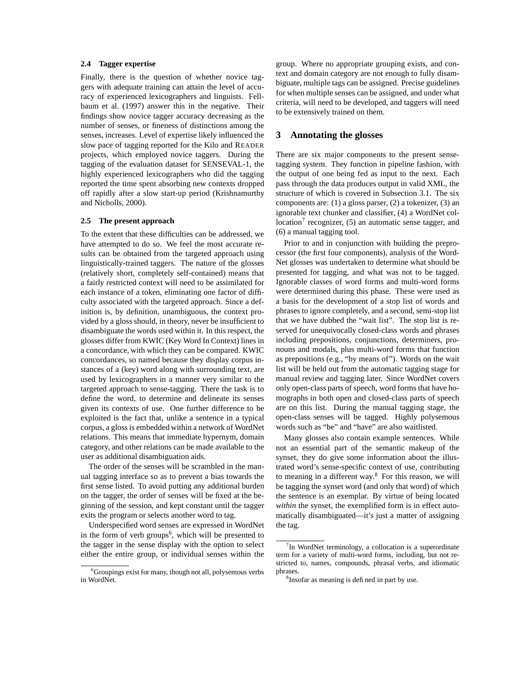## **2.4 Tagger expertise**

Finally, there is the question of whether novice taggers with adequate training can attain the level of accuracy of experienced lexicographers and linguists. Fellbaum et al. (1997) answer this in the negative. Their findings show novice tagger accuracy decreasing as the number of senses, or fineness of distinctions among the senses, increases. Level of expertise likely influenced the slow pace of tagging reported for the Kilo and READER projects, which employed novice taggers. During the tagging of the evaluation dataset for SENSEVAL-1, the highly experienced lexicographers who did the tagging reported the time spent absorbing new contexts dropped off rapidly after a slow start-up period (Krishnamurthy and Nicholls, 2000).

#### **2.5 The present approach**

To the extent that these difficulties can be addressed, we have attempted to do so. We feel the most accurate results can be obtained from the targeted approach using linguistically-trained taggers. The nature of the glosses (relatively short, completely self-contained) means that a fairly restricted context will need to be assimilated for each instance of a token, eliminating one factor of difficulty associated with the targeted approach. Since a definition is, by definition, unambiguous, the context provided by a gloss should, in theory, never be insufficient to disambiguate the words used within it. In this respect, the glosses differ from KWIC (Key Word In Context) lines in a concordance, with which they can be compared. KWIC concordances, so named because they display corpus instances of a (key) word along with surrounding text, are used by lexicographers in a manner very similar to the targeted approach to sense-tagging. There the task is to define the word, to determine and delineate its senses given its contexts of use. One further difference to be exploited is the fact that, unlike a sentence in a typical corpus, a gloss is embedded within a network of WordNet relations. This means that immediate hypernym, domain category, and other relations can be made available to the user as additional disambiguation aids.

The order of the senses will be scrambled in the manual tagging interface so as to prevent a bias towards the first sense listed. To avoid putting any additional burden on the tagger, the order of senses will be fixed at the beginning of the session, and kept constant until the tagger exits the program or selects another word to tag.

Underspecified word senses are expressed in WordNet in the form of verb groups<sup>6</sup>, which will be presented to the tagger in the sense display with the option to select either the entire group, or individual senses within the group. Where no appropriate grouping exists, and context and domain category are not enough to fully disambiguate, multiple tags can be assigned. Precise guidelines for when multiple senses can be assigned, and under what criteria, will need to be developed, and taggers will need to be extensively trained on them.

## **3 Annotating the glosses**

There are six major components to the present sensetagging system. They function in pipeline fashion, with the output of one being fed as input to the next. Each pass through the data produces output in valid XML, the structure of which is covered in Subsection 3.1. The six components are: (1) a gloss parser, (2) a tokenizer, (3) an ignorable text chunker and classifier, (4) a WordNet collocation<sup>7</sup> recognizer, (5) an automatic sense tagger, and (6) a manual tagging tool.

Prior to and in conjunction with building the preprocessor (the first four components), analysis of the Word-Net glosses was undertaken to determine what should be presented for tagging, and what was not to be tagged. Ignorable classes of word forms and multi-word forms were determined during this phase. These were used as a basis for the development of a stop list of words and phrases to ignore completely, and a second, semi-stop list that we have dubbed the "wait list". The stop list is reserved for unequivocally closed-class words and phrases including prepositions, conjunctions, determiners, pronouns and modals, plus multi-word forms that function as prepositions (e.g., "by means of"). Words on the wait list will be held out from the automatic tagging stage for manual review and tagging later. Since WordNet covers only open-class parts of speech, word forms that have homographs in both open and closed-class parts of speech are on this list. During the manual tagging stage, the open-class senses will be tagged. Highly polysemous words such as "be" and "have" are also waitlisted.

Many glosses also contain example sentences. While not an essential part of the semantic makeup of the synset, they do give some information about the illustrated word's sense-specific context of use, contributing to meaning in a different way. <sup>8</sup> For this reason, we will be tagging the synset word (and only that word) of which the sentence is an exemplar. By virtue of being located *within* the synset, the exemplified form is in effect automatically disambiguated—it's just a matter of assigning the tag.

<sup>6</sup>Groupings exist for many, though not all, polysemous verbs in WordNet.

<sup>&</sup>lt;sup>7</sup>In WordNet terminology, a collocation is a superordinate term for a variety of multi-word forms, including, but not restricted to, names, compounds, phrasal verbs, and idiomatic phrases.

<sup>8</sup> Insofar as meaning is defined in part by use.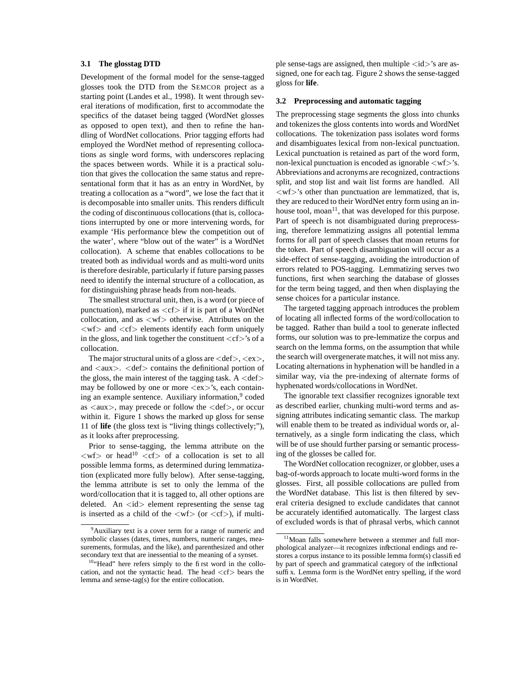## **3.1 The glosstag DTD**

Development of the formal model for the sense-tagged glosses took the DTD from the SEMCOR project as a starting point (Landes et al., 1998). It went through several iterations of modification, first to accommodate the specifics of the dataset being tagged (WordNet glosses as opposed to open text), and then to refine the handling of WordNet collocations. Prior tagging efforts had employed the WordNet method of representing collocations as single word forms, with underscores replacing the spaces between words. While it is a practical solution that gives the collocation the same status and representational form that it has as an entry in WordNet, by treating a collocation as a "word", we lose the fact that it is decomposable into smaller units. This renders difficult the coding of discontinuous collocations (that is, collocations interrupted by one or more intervening words, for example 'His performance blew the competition out of the water', where "blow out of the water" is a WordNet collocation). A scheme that enables collocations to be treated both as individual words and as multi-word units is therefore desirable, particularly if future parsing passes need to identify the internal structure of a collocation, as for distinguishing phrase heads from non-heads.

The smallest structural unit, then, is a word (or piece of punctuation), marked as  $\langle cf \rangle$  if it is part of a WordNet collocation, and as  $\langle wf\rangle$  otherwise. Attributes on the  $\langle w f \rangle$  and  $\langle cf \rangle$  elements identify each form uniquely in the gloss, and link together the constituent  $\langle cf \rangle$ 's of a collocation.

The major structural units of a gloss are  $\langle def \rangle$ ,  $\langle ex \rangle$ , and  $\langle aux \rangle$ .  $\langle def \rangle$  contains the definitional portion of the gloss, the main interest of the tagging task.  $A <$ def $>$ may be followed by one or more  $\langle ex \rangle$ 's, each containing an example sentence. Auxiliary information,<sup>9</sup> coded as  $\langle \text{aux} \rangle$ , may precede or follow the  $\langle \text{def} \rangle$ , or occur within it. Figure 1 shows the marked up gloss for sense 11 of **life** (the gloss text is "living things collectively;"), as it looks after preprocessing.

Prior to sense-tagging, the lemma attribute on the  $\langle w f \rangle$  or head<sup>10</sup>  $\langle cf \rangle$  of a collocation is set to all possible lemma forms, as determined during lemmatization (explicated more fully below). After sense-tagging, the lemma attribute is set to only the lemma of the word/collocation that it is tagged to, all other options are deleted. An  $\langle id \rangle$  element representing the sense tag is inserted as a child of the  $\langle wf\rangle$  (or  $\langle cf\rangle$ ), if multiple sense-tags are assigned, then multiple  $\langle id \rangle$ 's are assigned, one for each tag. Figure 2 shows the sense-tagged gloss for **life**.

#### **3.2 Preprocessing and automatic tagging**

The preprocessing stage segments the gloss into chunks and tokenizes the gloss contents into words and WordNet collocations. The tokenization pass isolates word forms and disambiguates lexical from non-lexical punctuation. Lexical punctuation is retained as part of the word form, non-lexical punctuation is encoded as ignorable  $\langle wf\rangle$ 's. Abbreviations and acronyms are recognized, contractions split, and stop list and wait list forms are handled. All  $\langle w f \rangle$ 's other than punctuation are lemmatized, that is, they are reduced to their WordNet entry form using an inhouse tool, moan $11$ , that was developed for this purpose. Part of speech is not disambiguated during preprocessing, therefore lemmatizing assigns all potential lemma forms for all part of speech classes that moan returns for the token. Part of speech disambiguation will occur as a side-effect of sense-tagging, avoiding the introduction of errors related to POS-tagging. Lemmatizing serves two functions, first when searching the database of glosses for the term being tagged, and then when displaying the sense choices for a particular instance.

The targeted tagging approach introduces the problem of locating all inflected forms of the word/collocation to be tagged. Rather than build a tool to generate inflected forms, our solution was to pre-lemmatize the corpus and search on the lemma forms, on the assumption that while the search will overgenerate matches, it will not miss any. Locating alternations in hyphenation will be handled in a similar way, via the pre-indexing of alternate forms of hyphenated words/collocations in WordNet.

The ignorable text classifier recognizes ignorable text as described earlier, chunking multi-word terms and assigning attributes indicating semantic class. The markup will enable them to be treated as individual words or, alternatively, as a single form indicating the class, which will be of use should further parsing or semantic processing of the glosses be called for.

The WordNet collocation recognizer, or globber, uses a bag-of-words approach to locate multi-word forms in the glosses. First, all possible collocations are pulled from the WordNet database. This list is then filtered by several criteria designed to exclude candidates that cannot be accurately identified automatically. The largest class of excluded words is that of phrasal verbs, which cannot

<sup>&</sup>lt;sup>9</sup>Auxiliary text is a cover term for a range of numeric and symbolic classes (dates, times, numbers, numeric ranges, measurements, formulas, and the like), and parenthesized and other secondary text that are inessential to the meaning of a synset.

<sup>&</sup>lt;sup>10</sup>"Head" here refers simply to the first word in the collocation, and not the syntactic head. The head  $\langle cf \rangle$  bears the lemma and sense-tag(s) for the entire collocation.

<sup>&</sup>lt;sup>11</sup>Moan falls somewhere between a stemmer and full morphological analyzer—it recognizes inflectional endings and restores a corpus instance to its possible lemma form(s) classified by part of speech and grammatical category of the inflectional suffix. Lemma form is the WordNet entry spelling, if the word is in WordNet.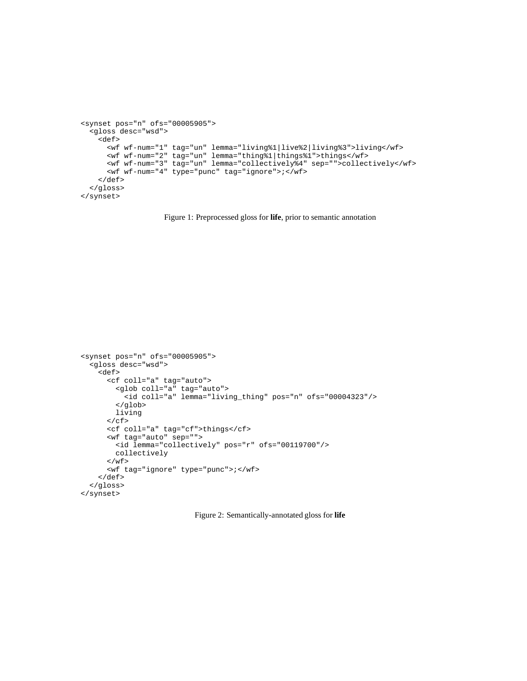```
<synset pos="n" ofs="00005905">
  <gloss desc="wsd">
    <def>
      <wf wf-num="1" tag="un" lemma="living%1|live%2|living%3">living</wf>
      <wf wf-num="2" tag="un" lemma="thing%1|things%1">things</wf>
      <wf wf-num="3" tag="un" lemma="collectively%4" sep="">collectively</wf>
      <wf wf-num="4" type="punc" tag="ignore">;</wf>
   </def>
 </gloss>
</synset>
```
Figure 1: Preprocessed gloss for **life**, prior to semantic annotation

```
<synset pos="n" ofs="00005905">
 <gloss desc="wsd">
    <def>
      <cf coll="a" tag="auto">
        <glob coll="a" tag="auto">
          <id coll="a" lemma="living_thing" pos="n" ofs="00004323"/>
        </glob>
        living
      \langle / \mathrm{cf}\, \rangle<cf coll="a" tag="cf">things</cf>
      <wf tag="auto" sep="">
        <id lemma="collectively" pos="r" ofs="00119700"/>
        collectively
      \langle/wf>
      <wf tag="ignore" type="punc">;</wf>
    </def>
  </gloss>
</synset>
```
Figure 2: Semantically-annotated gloss for **life**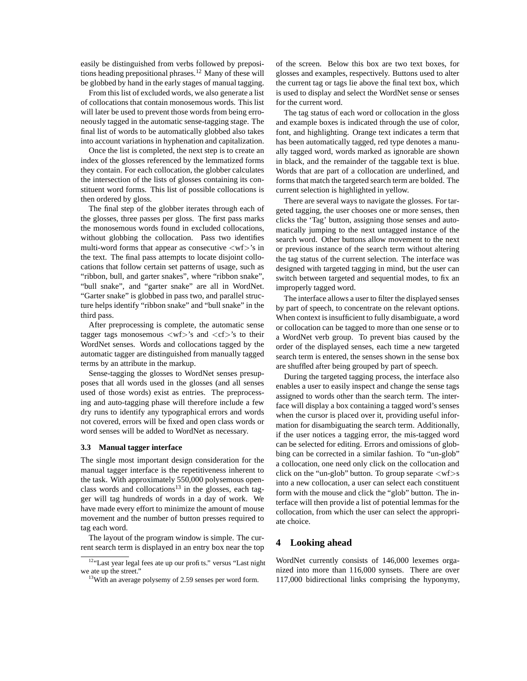easily be distinguished from verbs followed by prepositions heading prepositional phrases.<sup>12</sup> Many of these will be globbed by hand in the early stages of manual tagging.

From this list of excluded words, we also generate a list of collocations that contain monosemous words. This list will later be used to prevent those words from being erroneously tagged in the automatic sense-tagging stage. The final list of words to be automatically globbed also takes into account variations in hyphenation and capitalization.

Once the list is completed, the next step is to create an index of the glosses referenced by the lemmatized forms they contain. For each collocation, the globber calculates the intersection of the lists of glosses containing its constituent word forms. This list of possible collocations is then ordered by gloss.

The final step of the globber iterates through each of the glosses, three passes per gloss. The first pass marks the monosemous words found in excluded collocations, without globbing the collocation. Pass two identifies multi-word forms that appear as consecutive  $\langle wf\rangle$ 's in the text. The final pass attempts to locate disjoint collocations that follow certain set patterns of usage, such as "ribbon, bull, and garter snakes", where "ribbon snake", "bull snake", and "garter snake" are all in WordNet. "Garter snake" is globbed in pass two, and parallel structure helps identify "ribbon snake" and "bull snake" in the third pass.

After preprocessing is complete, the automatic sense tagger tags monosemous  $\langle wf\rangle$ 's and  $\langle cf\rangle$ 's to their WordNet senses. Words and collocations tagged by the automatic tagger are distinguished from manually tagged terms by an attribute in the markup.

Sense-tagging the glosses to WordNet senses presupposes that all words used in the glosses (and all senses used of those words) exist as entries. The preprocessing and auto-tagging phase will therefore include a few dry runs to identify any typographical errors and words not covered, errors will be fixed and open class words or word senses will be added to WordNet as necessary.

#### **3.3 Manual tagger interface**

The single most important design consideration for the manual tagger interface is the repetitiveness inherent to the task. With approximately 550,000 polysemous openclass words and collocations<sup>13</sup> in the glosses, each tagger will tag hundreds of words in a day of work. We have made every effort to minimize the amount of mouse movement and the number of button presses required to tag each word.

The layout of the program window is simple. The current search term is displayed in an entry box near the top of the screen. Below this box are two text boxes, for glosses and examples, respectively. Buttons used to alter the current tag or tags lie above the final text box, which is used to display and select the WordNet sense or senses for the current word.

The tag status of each word or collocation in the gloss and example boxes is indicated through the use of color, font, and highlighting. Orange text indicates a term that has been automatically tagged, red type denotes a manually tagged word, words marked as ignorable are shown in black, and the remainder of the taggable text is blue. Words that are part of a collocation are underlined, and forms that match the targeted search term are bolded. The current selection is highlighted in yellow.

There are several ways to navigate the glosses. For targeted tagging, the user chooses one or more senses, then clicks the 'Tag' button, assigning those senses and automatically jumping to the next untagged instance of the search word. Other buttons allow movement to the next or previous instance of the search term without altering the tag status of the current selection. The interface was designed with targeted tagging in mind, but the user can switch between targeted and sequential modes, to fix an improperly tagged word.

The interface allows a user to filter the displayed senses by part of speech, to concentrate on the relevant options. When context is insufficient to fully disambiguate, a word or collocation can be tagged to more than one sense or to a WordNet verb group. To prevent bias caused by the order of the displayed senses, each time a new targeted search term is entered, the senses shown in the sense box are shuffled after being grouped by part of speech.

During the targeted tagging process, the interface also enables a user to easily inspect and change the sense tags assigned to words other than the search term. The interface will display a box containing a tagged word's senses when the cursor is placed over it, providing useful information for disambiguating the search term. Additionally, if the user notices a tagging error, the mis-tagged word can be selected for editing. Errors and omissions of globbing can be corrected in a similar fashion. To "un-glob" a collocation, one need only click on the collocation and click on the "un-glob" button. To group separate  $\langle wf\rangle$ s into a new collocation, a user can select each constituent form with the mouse and click the "glob" button. The interface will then provide a list of potential lemmas for the collocation, from which the user can select the appropriate choice.

## **4 Looking ahead**

WordNet currently consists of 146,000 lexemes organized into more than 116,000 synsets. There are over 117,000 bidirectional links comprising the hyponymy,

<sup>12&</sup>quot;Last year legal fees ate up our profits." versus "Last night we ate up the street."

<sup>13</sup>With an average polysemy of 2.59 senses per word form.